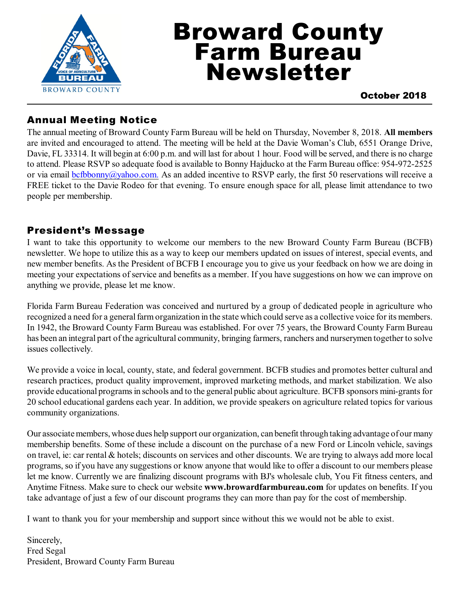

# Broward County Farm Bureau Newsletter

October 2018

#### Annual Meeting Notice

The annual meeting of Broward County Farm Bureau will be held on Thursday, November 8, 2018. **All members** are invited and encouraged to attend. The meeting will be held at the Davie Woman's Club, 6551 Orange Drive, Davie, FL 33314. It will begin at 6:00 p.m. and will last for about 1 hour. Food will be served, and there is no charge to attend. Please RSVP so adequate food is available to Bonny Hajducko at the Farm Bureau office: 954-972-2525 or via email [bcfbbonny@yahoo.com.](mailto:bcfbbonny@yahoo.com.) As an added incentive to RSVP early, the first 50 reservations will receive a FREE ticket to the Davie Rodeo for that evening. To ensure enough space for all, please limit attendance to two people per membership.

#### President's Message

I want to take this opportunity to welcome our members to the new Broward County Farm Bureau (BCFB) newsletter. We hope to utilize this as a way to keep our members updated on issues of interest, special events, and new member benefits. As the President of BCFB I encourage you to give us your feedback on how we are doing in meeting your expectations of service and benefits as a member. If you have suggestions on how we can improve on anything we provide, please let me know.

Florida Farm Bureau Federation was conceived and nurtured by a group of dedicated people in agriculture who recognized a need for a general farm organization in the state which could serve as a collective voice for its members. In 1942, the Broward County Farm Bureau was established. For over 75 years, the Broward County Farm Bureau has been an integral part of the agricultural community, bringing farmers, ranchers and nurserymen together to solve issues collectively.

We provide a voice in local, county, state, and federal government. BCFB studies and promotes better cultural and research practices, product quality improvement, improved marketing methods, and market stabilization. We also provide educational programs in schools and to the general public about agriculture. BCFB sponsors mini-grants for 20 school educational gardens each year. In addition, we provide speakers on agriculture related topics for various community organizations.

Our associate members, whose dues help support our organization, can benefit through taking advantage of our many membership benefits. Some of these include a discount on the purchase of a new Ford or Lincoln vehicle, savings on travel, ie: car rental & hotels; discounts on services and other discounts. We are trying to always add more local programs, so if you have any suggestions or know anyone that would like to offer a discount to our members please let me know. Currently we are finalizing discount programs with BJ's wholesale club, You Fit fitness centers, and Anytime Fitness. Make sure to check our website **www.browardfarmbureau.com** for updates on benefits. If you take advantage of just a few of our discount programs they can more than pay for the cost of membership.

I want to thank you for your membership and support since without this we would not be able to exist.

Sincerely, Fred Segal President, Broward County Farm Bureau